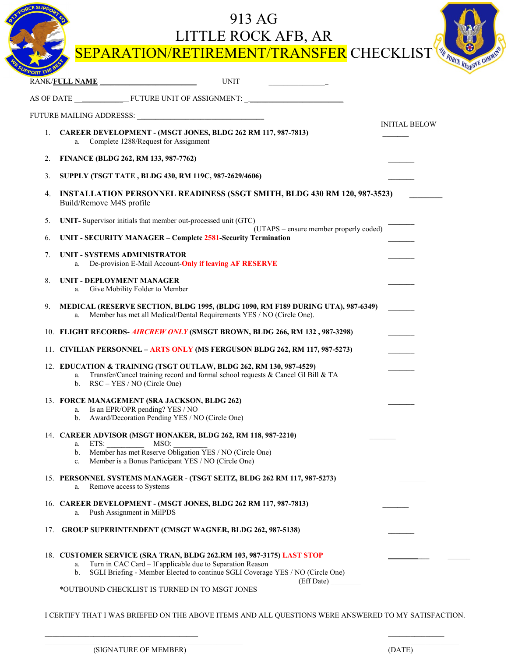|       | 913 AG<br>LITTLE ROCK AFB, AR<br>SEPARATION/RETIREMENT/TRANSFER CHECKLIST                                                                                                                                                    | THE FORCE RESERVE COMMAND |
|-------|------------------------------------------------------------------------------------------------------------------------------------------------------------------------------------------------------------------------------|---------------------------|
| ORTTH | RANK/FULL NAME<br><b>UNIT</b>                                                                                                                                                                                                |                           |
|       |                                                                                                                                                                                                                              |                           |
|       |                                                                                                                                                                                                                              |                           |
| 1.    | CAREER DEVELOPMENT - (MSGT JONES, BLDG 262 RM 117, 987-7813)<br>Complete 1288/Request for Assignment<br>a.                                                                                                                   | <b>INITIAL BELOW</b>      |
| 2.    | FINANCE (BLDG 262, RM 133, 987-7762)                                                                                                                                                                                         |                           |
| 3.    | SUPPLY (TSGT TATE, BLDG 430, RM 119C, 987-2629/4606)                                                                                                                                                                         |                           |
| 4.    | <b>INSTALLATION PERSONNEL READINESS (SSGT SMITH, BLDG 430 RM 120, 987-3523)</b><br>Build/Remove M4S profile                                                                                                                  |                           |
| 5.    | UNIT- Supervisor initials that member out-processed unit (GTC)                                                                                                                                                               |                           |
| 6.    | (UTAPS – ensure member properly coded)<br><b>UNIT - SECURITY MANAGER - Complete 2581-Security Termination</b>                                                                                                                |                           |
| 7.    | <b>UNIT - SYSTEMS ADMINISTRATOR</b><br>De-provision E-Mail Account-Only if leaving AF RESERVE                                                                                                                                |                           |
| 8.    | <b>UNIT - DEPLOYMENT MANAGER</b><br>Give Mobility Folder to Member<br>a.                                                                                                                                                     |                           |
| 9.    | MEDICAL (RESERVE SECTION, BLDG 1995, (BLDG 1090, RM F189 DURING UTA), 987-6349)<br>Member has met all Medical/Dental Requirements YES / NO (Circle One).<br>a.                                                               |                           |
|       | 10. FLIGHT RECORDS-AIRCREW ONLY (SMSGT BROWN, BLDG 266, RM 132, 987-3298)                                                                                                                                                    |                           |
|       | 11. CIVILIAN PERSONNEL - ARTS ONLY (MS FERGUSON BLDG 262, RM 117, 987-5273)                                                                                                                                                  |                           |
|       | 12. EDUCATION & TRAINING (TSGT OUTLAW, BLDG 262, RM 130, 987-4529)<br>Transfer/Cancel training record and formal school requests & Cancel GI Bill & TA<br>a.<br>b. $RSC - YES / NO (Circle One)$                             |                           |
|       | 13. FORCE MANAGEMENT (SRA JACKSON, BLDG 262)<br>a. Is an EPR/OPR pending? YES / NO<br>b. Award/Decoration Pending YES / NO (Circle One)                                                                                      |                           |
|       | 14. CAREER ADVISOR (MSGT HONAKER, BLDG 262, RM 118, 987-2210)<br>MSO:<br>a. ETS:<br>b. Member has met Reserve Obligation YES / NO (Circle One)<br>c. Member is a Bonus Participant YES / NO (Circle One)                     |                           |
|       | 15. PERSONNEL SYSTEMS MANAGER - (TSGT SEITZ, BLDG 262 RM 117, 987-5273)<br>Remove access to Systems<br>a.                                                                                                                    |                           |
|       | 16. CAREER DEVELOPMENT - (MSGT JONES, BLDG 262 RM 117, 987-7813)<br>a. Push Assignment in MilPDS                                                                                                                             |                           |
|       | 17. GROUP SUPERINTENDENT (CMSGT WAGNER, BLDG 262, 987-5138)                                                                                                                                                                  |                           |
|       | 18. CUSTOMER SERVICE (SRA TRAN, BLDG 262.RM 103, 987-3175) LAST STOP<br>Turn in CAC Card - If applicable due to Separation Reason<br>a.<br>b. SGLI Briefing - Member Elected to continue SGLI Coverage YES / NO (Circle One) |                           |
|       | (Eff Date)<br>*OUTBOUND CHECKLIST IS TURNED IN TO MSGT JONES                                                                                                                                                                 |                           |

I CERTIFY THAT I WAS BRIEFED ON THE ABOVE ITEMS AND ALL QUESTIONS WERE ANSWERED TO MY SATISFACTION.

 $\overline{\phantom{a}}$  , and the contribution of  $\overline{\phantom{a}}$  , and  $\overline{\phantom{a}}$  , and  $\overline{\phantom{a}}$  , and  $\overline{\phantom{a}}$  , and  $\overline{\phantom{a}}$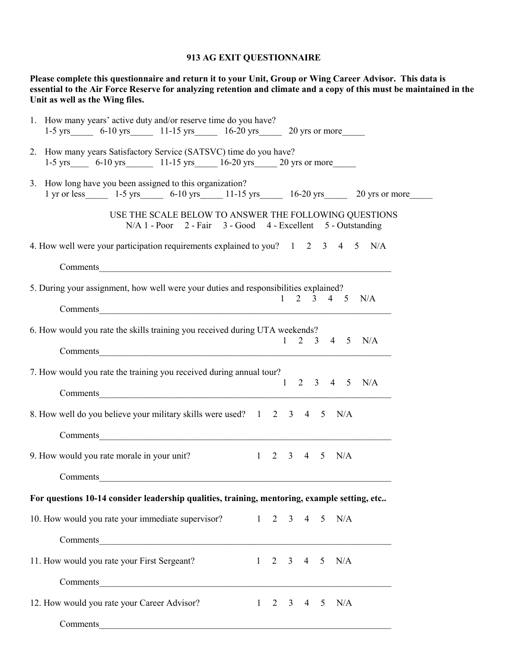## **913 AG EXIT QUESTIONNAIRE**

**Please complete this questionnaire and return it to your Unit, Group or Wing Career Advisor. This data is essential to the Air Force Reserve for analyzing retention and climate and a copy of this must be maintained in the Unit as well as the Wing files.** 

| 1. How many years' active duty and/or reserve time do you have?                                                                                                 |
|-----------------------------------------------------------------------------------------------------------------------------------------------------------------|
| 1-5 yrs 6-10 yrs 11-15 yrs 16-20 yrs 20 yrs or more                                                                                                             |
| 2. How many years Satisfactory Service (SATSVC) time do you have?<br>1-5 yrs 6-10 yrs 11-15 yrs 16-20 yrs 20 yrs or more                                        |
| 3. How long have you been assigned to this organization?<br>1 yr or less_______ 1-5 yrs_______ 6-10 yrs______ 11-15 yrs______ 16-20 yrs______ 20 yrs or more___ |
| USE THE SCALE BELOW TO ANSWER THE FOLLOWING QUESTIONS<br>N/A 1 - Poor 2 - Fair 3 - Good 4 - Excellent 5 - Outstanding                                           |
| 4. How well were your participation requirements explained to you? 1 2 3 4 5 N/A                                                                                |
|                                                                                                                                                                 |
| 5. During your assignment, how well were your duties and responsibilities explained?                                                                            |
| $1 \t2 \t3 \t4 \t5 \t N/A$<br>Comments                                                                                                                          |
| 6. How would you rate the skills training you received during UTA weekends?                                                                                     |
| $1 \t2 \t3 \t4 \t5 \t N/A$                                                                                                                                      |
| 7. How would you rate the training you received during annual tour?<br>$2 \t3 \t4 \t5$                                                                          |
| N/A<br>$\mathbf{1}$                                                                                                                                             |
| 8. How well do you believe your military skills were used? 1 2 3 4 5<br>N/A                                                                                     |
|                                                                                                                                                                 |
| 9. How would you rate morale in your unit?<br>$1 \t2 \t3 \t4 \t5 \t N/A$                                                                                        |
|                                                                                                                                                                 |
| For questions 10-14 consider leadership qualities, training, mentoring, example setting, etc                                                                    |
| 10. How would you rate your immediate supervisor? 1 2 3 4 5 N/A                                                                                                 |
|                                                                                                                                                                 |
| 11. How would you rate your First Sergeant?<br>$1 \t2 \t3 \t4 \t5 \t N/A$                                                                                       |
|                                                                                                                                                                 |
| 12. How would you rate your Career Advisor?<br>$1 \t2 \t3 \t4 \t5 \t N/A$                                                                                       |
| Comments                                                                                                                                                        |